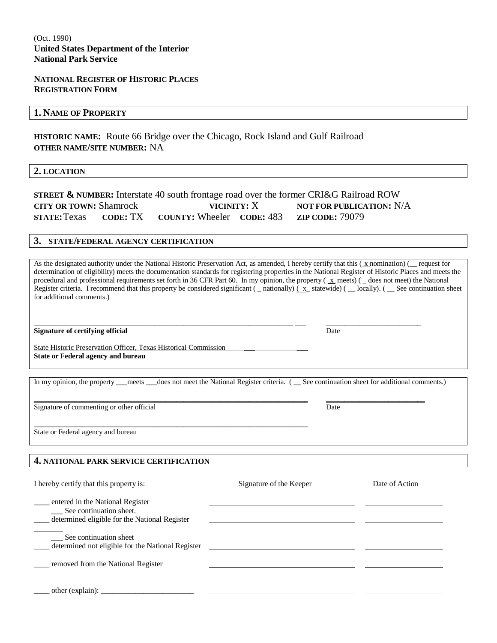#### **NATIONAL REGISTER OF HISTORIC PLACES REGISTRATION FORM**

#### **1. NAME OF PROPERTY**

**HISTORIC NAME:** Route 66 Bridge over the Chicago, Rock Island and Gulf Railroad **OTHER NAME/SITE NUMBER:** NA

**2. LOCATION**

**STREET & NUMBER:** Interstate 40 south frontage road over the former CRI&G Railroad ROW **CITY OR TOWN:** Shamrock **VICINITY:** X **NOT FOR PUBLICATION:** N/A **STATE:**Texas **CODE:** TX **COUNTY:** Wheeler **CODE:** 483 **ZIP CODE:** 79079

#### **3. STATE/FEDERAL AGENCY CERTIFICATION**

As the designated authority under the National Historic Preservation Act, as amended, I hereby certify that this  $(x, n$ omination) ( $\Box$  request for determination of eligibility) meets the documentation standards for registering properties in the National Register of Historic Places and meets the procedural and professional requirements set forth in 36 CFR Part 60. In my opinion, the property ( $\overline{x}$  meets) ( $\overline{z}$  does not meet) the National Register criteria. I recommend that this property be considered significant ( \_ nationally)  $\overline{(x)}$  statewide) ( \_ locally). ( \_ See continuation sheet for additional comments.)

\_\_\_\_\_\_\_\_\_\_\_\_\_\_\_\_\_\_\_\_\_\_\_\_\_\_\_\_\_\_\_\_\_\_\_\_\_\_\_\_\_\_\_\_\_\_\_\_\_\_\_\_\_\_\_\_\_\_\_\_\_\_\_\_\_\_\_\_\_\_\_ \_\_\_ \_\_\_\_\_\_\_\_\_\_\_\_\_\_\_\_\_\_\_\_\_\_\_\_\_\_ **Signature of certifying official** Date

State Historic Preservation Officer, Texas Historical Commission **State or Federal agency and bureau** 

\_\_\_\_\_\_\_\_\_\_\_\_\_\_\_\_\_\_\_\_\_\_\_\_\_\_\_\_\_\_\_\_\_\_\_\_\_\_\_\_\_\_\_\_\_\_\_\_\_\_\_\_\_\_\_\_\_\_\_\_\_\_\_\_\_\_\_\_\_\_\_\_\_\_\_

In my opinion, the property meets does not meet the National Register criteria. (See continuation sheet for additional comments.)

\_\_\_\_\_\_\_\_\_\_\_\_\_\_\_\_\_\_\_\_\_\_\_\_\_\_\_\_\_\_\_\_\_\_\_\_\_\_\_\_\_\_\_\_\_\_\_\_\_\_\_\_\_\_\_\_\_\_\_\_\_\_\_\_\_\_\_\_\_\_\_\_\_\_\_ \_\_\_\_\_\_\_\_\_\_\_\_\_\_\_\_\_\_\_\_\_\_\_\_\_\_\_

Signature of commenting or other official Date

State or Federal agency and bureau

#### **4. NATIONAL PARK SERVICE CERTIFICATION**

| I hereby certify that this property is:                                                                      | Signature of the Keeper | Date of Action |
|--------------------------------------------------------------------------------------------------------------|-------------------------|----------------|
| entered in the National Register<br>See continuation sheet.<br>determined eligible for the National Register |                         |                |
| See continuation sheet<br>determined not eligible for the National Register                                  |                         |                |
| removed from the National Register                                                                           |                         |                |
| other (explain):                                                                                             |                         |                |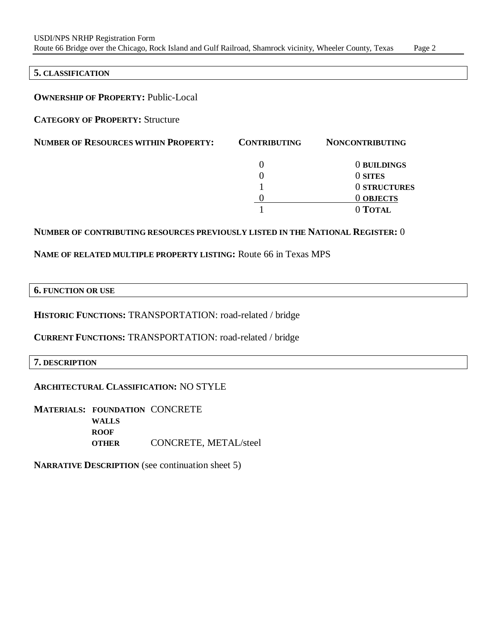#### **5. CLASSIFICATION**

**OWNERSHIP OF PROPERTY:** Public-Local

**CATEGORY OF PROPERTY:** Structure

| <b>NUMBER OF RESOURCES WITHIN PROPERTY:</b> | <b>CONTRIBUTING</b> | <b>NONCONTRIBUTING</b> |
|---------------------------------------------|---------------------|------------------------|
|                                             |                     | 0 BUILDINGS            |
|                                             |                     | 0 SITES                |
|                                             |                     | 0 STRUCTURES           |
|                                             |                     | 0 OBJECTS              |
|                                             |                     | 0 TOTAL                |

#### **NUMBER OF CONTRIBUTING RESOURCES PREVIOUSLY LISTED IN THE NATIONAL REGISTER:** 0

## **NAME OF RELATED MULTIPLE PROPERTY LISTING:** Route 66 in Texas MPS

#### **6. FUNCTION OR USE**

**HISTORIC FUNCTIONS:** TRANSPORTATION: road-related / bridge

**CURRENT FUNCTIONS:** TRANSPORTATION: road-related / bridge

**7. DESCRIPTION**

## **ARCHITECTURAL CLASSIFICATION:** NO STYLE

**MATERIALS: FOUNDATION** CONCRETE **WALLS ROOF OTHER** CONCRETE, METAL/steel

**NARRATIVE DESCRIPTION** (see continuation sheet 5)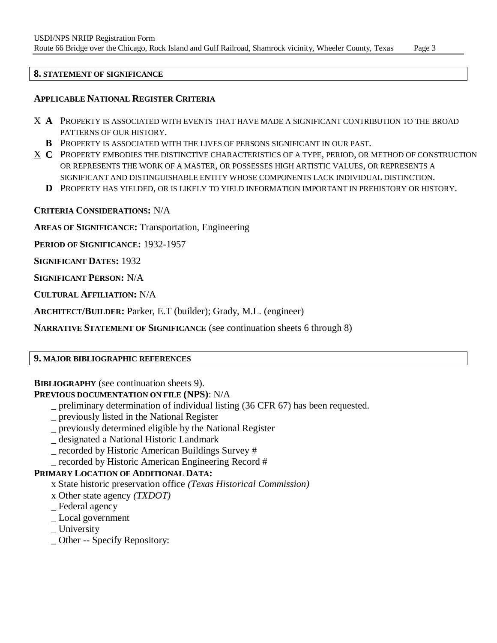#### **8. STATEMENT OF SIGNIFICANCE**

## **APPLICABLE NATIONAL REGISTER CRITERIA**

- X **A** PROPERTY IS ASSOCIATED WITH EVENTS THAT HAVE MADE A SIGNIFICANT CONTRIBUTION TO THE BROAD PATTERNS OF OUR HISTORY.
	- **B** PROPERTY IS ASSOCIATED WITH THE LIVES OF PERSONS SIGNIFICANT IN OUR PAST.
- X **C** PROPERTY EMBODIES THE DISTINCTIVE CHARACTERISTICS OF A TYPE, PERIOD, OR METHOD OF CONSTRUCTION OR REPRESENTS THE WORK OF A MASTER, OR POSSESSES HIGH ARTISTIC VALUES, OR REPRESENTS A SIGNIFICANT AND DISTINGUISHABLE ENTITY WHOSE COMPONENTS LACK INDIVIDUAL DISTINCTION.
	- **D** PROPERTY HAS YIELDED, OR IS LIKELY TO YIELD INFORMATION IMPORTANT IN PREHISTORY OR HISTORY.

### **CRITERIA CONSIDERATIONS:** N/A

**AREAS OF SIGNIFICANCE:** Transportation, Engineering

**PERIOD OF SIGNIFICANCE:** 1932-1957

**SIGNIFICANT DATES:** 1932

**SIGNIFICANT PERSON:** N/A

**CULTURAL AFFILIATION:** N/A

**ARCHITECT/BUILDER:** Parker, E.T (builder); Grady, M.L. (engineer)

**NARRATIVE STATEMENT OF SIGNIFICANCE** (see continuation sheets 6 through 8)

#### **9. MAJOR BIBLIOGRAPHIC REFERENCES**

**BIBLIOGRAPHY** (see continuation sheets 9).

#### **PREVIOUS DOCUMENTATION ON FILE (NPS)**: N/A

- \_ preliminary determination of individual listing (36 CFR 67) has been requested.
- \_ previously listed in the National Register
- \_ previously determined eligible by the National Register
- \_ designated a National Historic Landmark
- \_ recorded by Historic American Buildings Survey #
- \_ recorded by Historic American Engineering Record #

## **PRIMARY LOCATION OF ADDITIONAL DATA:**

- x State historic preservation office *(Texas Historical Commission)*
- x Other state agency *(TXDOT)*
- \_ Federal agency
- \_ Local government
- \_ University
- \_ Other -- Specify Repository: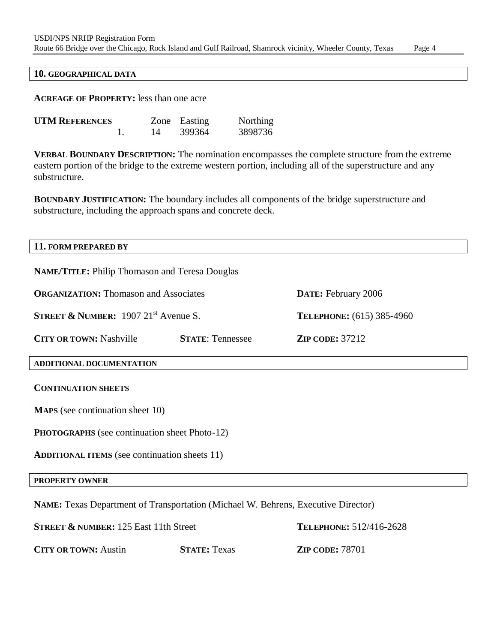#### **10. GEOGRAPHICAL DATA**

**ACREAGE OF PROPERTY:** less than one acre

| <b>UTM REFERENCES</b> |    | Zone Easting | <b>Northing</b> |
|-----------------------|----|--------------|-----------------|
|                       | 14 | 399364       | 3898736         |

**VERBAL BOUNDARY DESCRIPTION:** The nomination encompasses the complete structure from the extreme eastern portion of the bridge to the extreme western portion, including all of the superstructure and any substructure.

**BOUNDARY JUSTIFICATION:** The boundary includes all components of the bridge superstructure and substructure, including the approach spans and concrete deck.

#### **11. FORM PREPARED BY**

| <b>NAME/TITLE:</b> Philip Thomason and Teresa Douglas                                    |                         |                            |
|------------------------------------------------------------------------------------------|-------------------------|----------------------------|
| <b>ORGANIZATION:</b> Thomason and Associates                                             |                         | <b>DATE:</b> February 2006 |
| <b>STREET &amp; NUMBER:</b> 1907 $21^{\text{st}}$ Avenue S.                              |                         | TELEPHONE: (615) 385-4960  |
| <b>CITY OR TOWN: Nashville</b>                                                           | <b>STATE: Tennessee</b> | <b>ZIP CODE: 37212</b>     |
| <b>ADDITIONAL DOCUMENTATION</b>                                                          |                         |                            |
| <b>CONTINUATION SHEETS</b>                                                               |                         |                            |
| <b>MAPS</b> (see continuation sheet 10)                                                  |                         |                            |
| <b>PHOTOGRAPHS</b> (see continuation sheet Photo-12)                                     |                         |                            |
| <b>ADDITIONAL ITEMS</b> (see continuation sheets 11)                                     |                         |                            |
| <b>PROPERTY OWNER</b>                                                                    |                         |                            |
| <b>NAME:</b> Texas Department of Transportation (Michael W. Behrens, Executive Director) |                         |                            |
| <b>STREET &amp; NUMBER:</b> 125 East 11th Street<br>TELEPHONE: 512/416-2628              |                         |                            |

**CITY OR TOWN:** Austin **STATE:** Texas **ZIP CODE:** 78701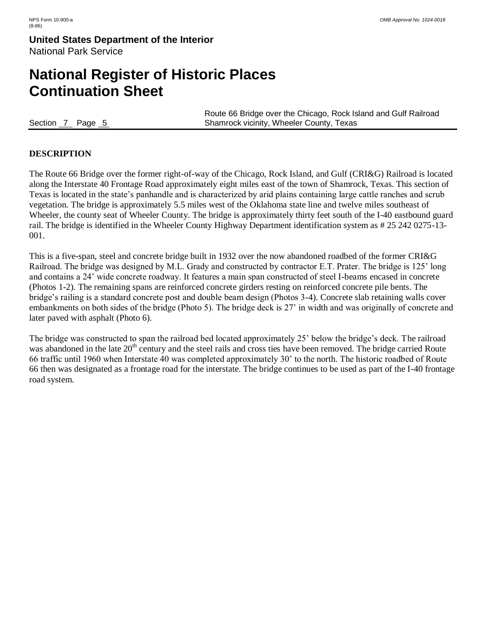# **National Register of Historic Places Continuation Sheet**

Route 66 Bridge over the Chicago, Rock Island and Gulf Railroad Section 7 Page 5 Shamrock vicinity, Wheeler County, Texas

#### **DESCRIPTION**

The Route 66 Bridge over the former right-of-way of the Chicago, Rock Island, and Gulf (CRI&G) Railroad is located along the Interstate 40 Frontage Road approximately eight miles east of the town of Shamrock, Texas. This section of Texas is located in the state's panhandle and is characterized by arid plains containing large cattle ranches and scrub vegetation. The bridge is approximately 5.5 miles west of the Oklahoma state line and twelve miles southeast of Wheeler, the county seat of Wheeler County. The bridge is approximately thirty feet south of the I-40 eastbound guard rail. The bridge is identified in the Wheeler County Highway Department identification system as # 25 242 0275-13- 001.

This is a five-span, steel and concrete bridge built in 1932 over the now abandoned roadbed of the former CRI&G Railroad. The bridge was designed by M.L. Grady and constructed by contractor E.T. Prater. The bridge is 125' long and contains a 24' wide concrete roadway. It features a main span constructed of steel I-beams encased in concrete (Photos 1-2). The remaining spans are reinforced concrete girders resting on reinforced concrete pile bents. The bridge's railing is a standard concrete post and double beam design (Photos 3-4). Concrete slab retaining walls cover embankments on both sides of the bridge (Photo 5). The bridge deck is 27' in width and was originally of concrete and later paved with asphalt (Photo 6).

The bridge was constructed to span the railroad bed located approximately 25' below the bridge's deck. The railroad was abandoned in the late 20<sup>th</sup> century and the steel rails and cross ties have been removed. The bridge carried Route 66 traffic until 1960 when Interstate 40 was completed approximately 30' to the north. The historic roadbed of Route 66 then was designated as a frontage road for the interstate. The bridge continues to be used as part of the I-40 frontage road system.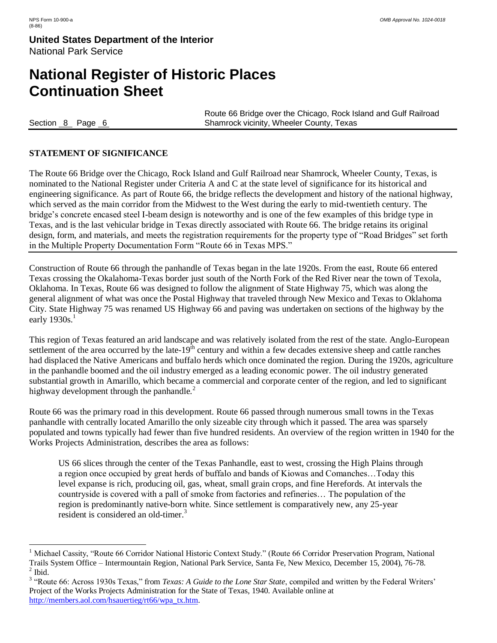# **National Register of Historic Places Continuation Sheet**

 $\overline{a}$ 

Route 66 Bridge over the Chicago, Rock Island and Gulf Railroad Section 8 Page 6 Shamrock vicinity, Wheeler County, Texas

## **STATEMENT OF SIGNIFICANCE**

The Route 66 Bridge over the Chicago, Rock Island and Gulf Railroad near Shamrock, Wheeler County, Texas, is nominated to the National Register under Criteria A and C at the state level of significance for its historical and engineering significance. As part of Route 66, the bridge reflects the development and history of the national highway, which served as the main corridor from the Midwest to the West during the early to mid-twentieth century. The bridge's concrete encased steel I-beam design is noteworthy and is one of the few examples of this bridge type in Texas, and is the last vehicular bridge in Texas directly associated with Route 66. The bridge retains its original design, form, and materials, and meets the registration requirements for the property type of "Road Bridges" set forth in the Multiple Property Documentation Form "Route 66 in Texas MPS."

Construction of Route 66 through the panhandle of Texas began in the late 1920s. From the east, Route 66 entered Texas crossing the Okalahoma-Texas border just south of the North Fork of the Red River near the town of Texola, Oklahoma. In Texas, Route 66 was designed to follow the alignment of State Highway 75, which was along the general alignment of what was once the Postal Highway that traveled through New Mexico and Texas to Oklahoma City. State Highway 75 was renamed US Highway 66 and paving was undertaken on sections of the highway by the early  $1930s.<sup>1</sup>$ 

This region of Texas featured an arid landscape and was relatively isolated from the rest of the state. Anglo-European settlement of the area occurred by the late-19 $\hat{d}$  century and within a few decades extensive sheep and cattle ranches had displaced the Native Americans and buffalo herds which once dominated the region. During the 1920s, agriculture in the panhandle boomed and the oil industry emerged as a leading economic power. The oil industry generated substantial growth in Amarillo, which became a commercial and corporate center of the region, and led to significant highway development through the panhandle.<sup>2</sup>

Route 66 was the primary road in this development. Route 66 passed through numerous small towns in the Texas panhandle with centrally located Amarillo the only sizeable city through which it passed. The area was sparsely populated and towns typically had fewer than five hundred residents. An overview of the region written in 1940 for the Works Projects Administration, describes the area as follows:

US 66 slices through the center of the Texas Panhandle, east to west, crossing the High Plains through a region once occupied by great herds of buffalo and bands of Kiowas and Comanches…Today this level expanse is rich, producing oil, gas, wheat, small grain crops, and fine Herefords. At intervals the countryside is covered with a pall of smoke from factories and refineries… The population of the region is predominantly native-born white. Since settlement is comparatively new, any 25-year resident is considered an old-timer.<sup>3</sup>

<sup>1</sup> Michael Cassity, "Route 66 Corridor National Historic Context Study." (Route 66 Corridor Preservation Program, National Trails System Office – Intermountain Region, National Park Service, Santa Fe, New Mexico, December 15, 2004), 76-78.  $<sup>2</sup>$  Ibid.</sup>

<sup>&</sup>lt;sup>3</sup> "Route 66: Across 1930s Texas," from *Texas: A Guide to the Lone Star State*, compiled and written by the Federal Writers' Project of the Works Projects Administration for the State of Texas, 1940. Available online at [http://members.aol.com/hsauertieg/rt66/wpa\\_tx.htm.](http://members.aol.com/hsauertieg/rt66/wpa_tx.htm)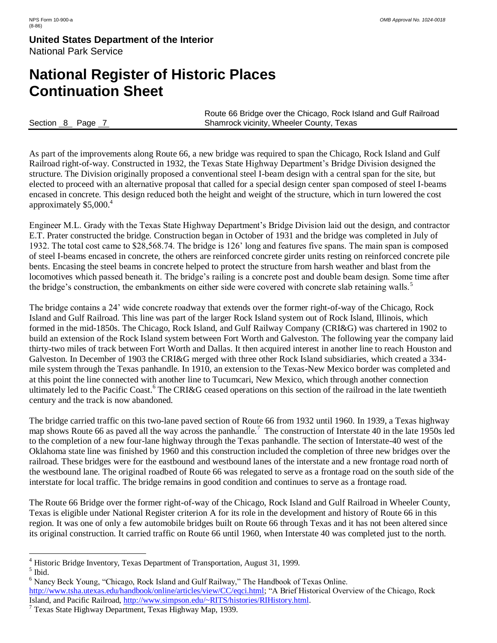# **National Register of Historic Places Continuation Sheet**

Route 66 Bridge over the Chicago, Rock Island and Gulf Railroad Section 8 Page 7 Shamrock vicinity, Wheeler County, Texas

As part of the improvements along Route 66, a new bridge was required to span the Chicago, Rock Island and Gulf Railroad right-of-way. Constructed in 1932, the Texas State Highway Department's Bridge Division designed the structure. The Division originally proposed a conventional steel I-beam design with a central span for the site, but elected to proceed with an alternative proposal that called for a special design center span composed of steel I-beams encased in concrete. This design reduced both the height and weight of the structure, which in turn lowered the cost approximately \$5,000.<sup>4</sup>

Engineer M.L. Grady with the Texas State Highway Department's Bridge Division laid out the design, and contractor E.T. Prater constructed the bridge. Construction began in October of 1931 and the bridge was completed in July of 1932. The total cost came to \$28,568.74. The bridge is 126' long and features five spans. The main span is composed of steel I-beams encased in concrete, the others are reinforced concrete girder units resting on reinforced concrete pile bents. Encasing the steel beams in concrete helped to protect the structure from harsh weather and blast from the locomotives which passed beneath it. The bridge's railing is a concrete post and double beam design. Some time after the bridge's construction, the embankments on either side were covered with concrete slab retaining walls.<sup>5</sup>

The bridge contains a 24' wide concrete roadway that extends over the former right-of-way of the Chicago, Rock Island and Gulf Railroad. This line was part of the larger Rock Island system out of Rock Island, Illinois, which formed in the mid-1850s. The Chicago, Rock Island, and Gulf Railway Company (CRI&G) was chartered in 1902 to build an extension of the Rock Island system between Fort Worth and Galveston. The following year the company laid thirty-two miles of track between Fort Worth and Dallas. It then acquired interest in another line to reach Houston and Galveston. In December of 1903 the CRI&G merged with three other Rock Island subsidiaries, which created a 334 mile system through the Texas panhandle. In 1910, an extension to the Texas-New Mexico border was completed and at this point the line connected with another line to Tucumcari, New Mexico, which through another connection ultimately led to the Pacific Coast.<sup>6</sup> The CRI&G ceased operations on this section of the railroad in the late twentieth century and the track is now abandoned.

The bridge carried traffic on this two-lane paved section of Route 66 from 1932 until 1960. In 1939, a Texas highway map shows Route 66 as paved all the way across the panhandle.<sup>7</sup> The construction of Interstate 40 in the late 1950s led to the completion of a new four-lane highway through the Texas panhandle. The section of Interstate-40 west of the Oklahoma state line was finished by 1960 and this construction included the completion of three new bridges over the railroad. These bridges were for the eastbound and westbound lanes of the interstate and a new frontage road north of the westbound lane. The original roadbed of Route 66 was relegated to serve as a frontage road on the south side of the interstate for local traffic. The bridge remains in good condition and continues to serve as a frontage road.

The Route 66 Bridge over the former right-of-way of the Chicago, Rock Island and Gulf Railroad in Wheeler County, Texas is eligible under National Register criterion A for its role in the development and history of Route 66 in this region. It was one of only a few automobile bridges built on Route 66 through Texas and it has not been altered since its original construction. It carried traffic on Route 66 until 1960, when Interstate 40 was completed just to the north.

 $\overline{a}$ <sup>4</sup> Historic Bridge Inventory, Texas Department of Transportation, August 31, 1999. 5 Ibid.

<sup>6</sup> Nancy Beck Young, "Chicago, Rock Island and Gulf Railway," The Handbook of Texas Online.

[http://www.tsha.utexas.edu/handbook/online/articles/view/CC/eqci.html;](http://www.tsha.utexas.edu/handbook/online/articles/view/CC/eqci.html) "A Brief Historical Overview of the Chicago, Rock Island, and Pacific Railroad, [http://www.simpson.edu/~RITS/histories/RIHistory.html.](http://www.simpson.edu/~RITS/histories/RIHistory.html)

 $7$  Texas State Highway Department, Texas Highway Map, 1939.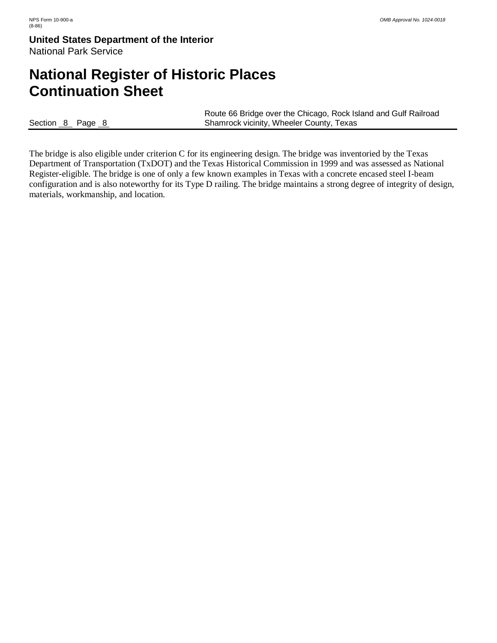# **National Register of Historic Places Continuation Sheet**

|                  | Route 66 Bridge over the Chicago, Rock Island and Gulf Railroad |
|------------------|-----------------------------------------------------------------|
| Section 8 Page 8 | Shamrock vicinity, Wheeler County, Texas                        |

The bridge is also eligible under criterion C for its engineering design. The bridge was inventoried by the Texas Department of Transportation (TxDOT) and the Texas Historical Commission in 1999 and was assessed as National Register-eligible. The bridge is one of only a few known examples in Texas with a concrete encased steel I-beam configuration and is also noteworthy for its Type D railing. The bridge maintains a strong degree of integrity of design, materials, workmanship, and location.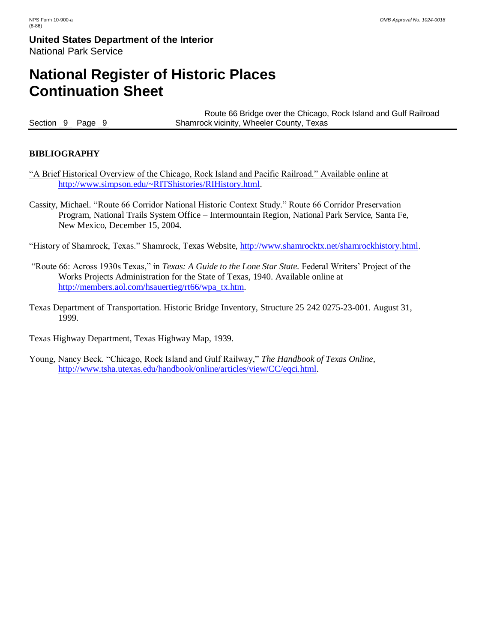# **National Register of Historic Places Continuation Sheet**

Route 66 Bridge over the Chicago, Rock Island and Gulf Railroad Section 9 Page 9 Shamrock vicinity, Wheeler County, Texas

### **BIBLIOGRAPHY**

- "A Brief Historical Overview of the Chicago, Rock Island and Pacific Railroad." Available online at [http://www.simpson.edu/~RITShistories/RIHistory.html.](http://www.simpson.edu/~RITShistories/RIHistory.html)
- Cassity, Michael. "Route 66 Corridor National Historic Context Study." Route 66 Corridor Preservation Program, National Trails System Office – Intermountain Region, National Park Service, Santa Fe, New Mexico, December 15, 2004.
- "History of Shamrock, Texas." Shamrock, Texas Website, [http://www.shamrocktx.net/shamrockhistory.html.](http://www.shamrocktx.net/shamrockhistory.html)
- "Route 66: Across 1930s Texas," in *Texas: A Guide to the Lone Star State.* Federal Writers' Project of the Works Projects Administration for the State of Texas, 1940. Available online at [http://members.aol.com/hsauertieg/rt66/wpa\\_tx.htm.](http://members.aol.com/hsauertieg/rt66/wpa_tx.htm)
- Texas Department of Transportation. Historic Bridge Inventory, Structure 25 242 0275-23-001. August 31, 1999.

Texas Highway Department, Texas Highway Map, 1939.

Young, Nancy Beck. "Chicago, Rock Island and Gulf Railway," *The Handbook of Texas Online*, [http://www.tsha.utexas.edu/handbook/online/articles/view/CC/eqci.html.](http://www.tsha.utexas.edu/handbook/online/articles/view/CC/eqci.html)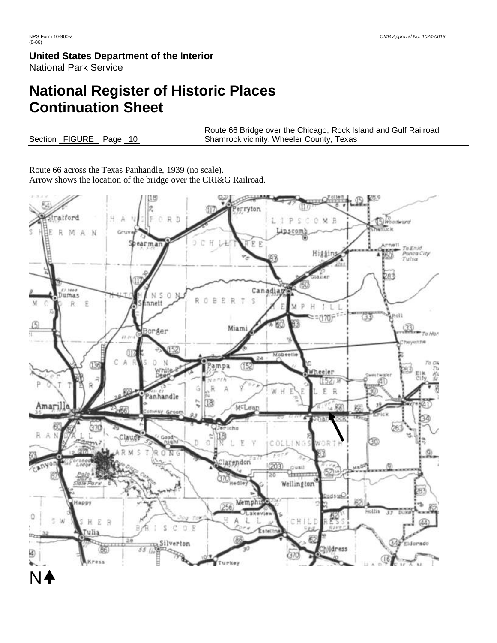# **National Register of Historic Places Continuation Sheet**

Route 66 Bridge over the Chicago, Rock Island and Gulf Railroad Section FIGURE Page 10 Shamrock vicinity, Wheeler County, Texas

Route 66 across the Texas Panhandle, 1939 (no scale). Arrow shows the location of the bridge over the CRI&G Railroad.

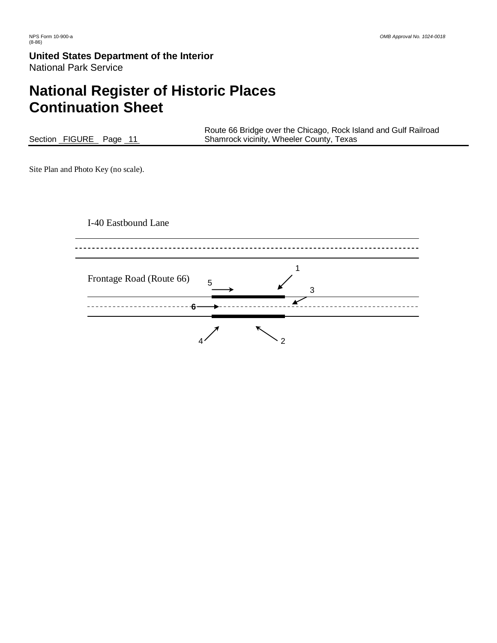# **National Register of Historic Places Continuation Sheet**

| Section FIGURE Page 11              | Route 66 Bridge over the Chicago, Rock Island and Gulf Railroad<br>Shamrock vicinity, Wheeler County, Texas |
|-------------------------------------|-------------------------------------------------------------------------------------------------------------|
| Site Plan and Photo Key (no scale). |                                                                                                             |
|                                     |                                                                                                             |
|                                     |                                                                                                             |
| I-40 Eastbound Lane                 |                                                                                                             |
|                                     |                                                                                                             |
| Frontage Road (Route 66)            | 5                                                                                                           |
|                                     | 3                                                                                                           |
|                                     |                                                                                                             |
|                                     |                                                                                                             |